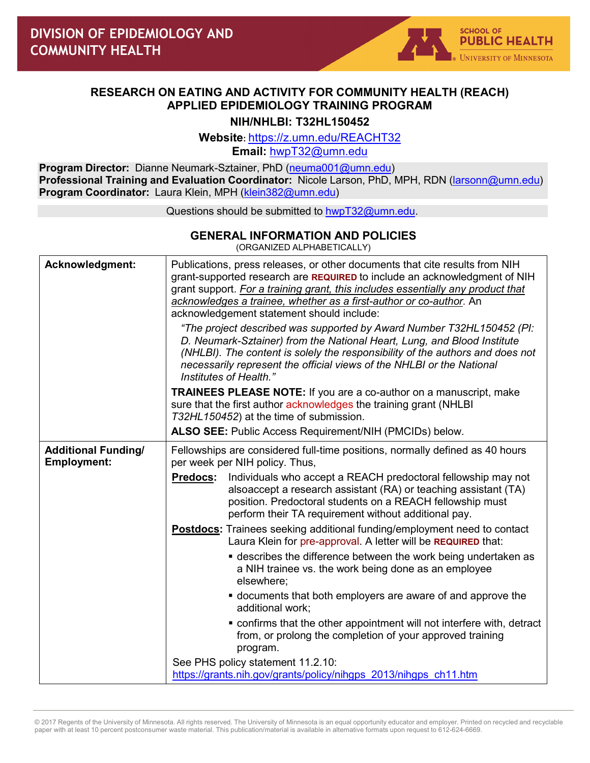## **RESEARCH ON EATING AND ACTIVITY FOR COMMUNITY HEALTH (REACH) APPLIED EPIDEMIOLOGY TRAINING PROGRAM**

**NIH/NHLBI: T32HL150452**

**Website:** https://z.umn.edu/REACHT32

**Email:** [hwpT32@umn.edu](mailto:hwpT32@umn.edu)

**Program Director:** Dianne Neumark-Sztainer, PhD [\(neuma001@umn.edu\)](mailto:neuma001@umn.edu) **Professional Training and Evaluation Coordinator:** Nicole Larson, PhD, MPH, RDN [\(larsonn@umn.edu\)](mailto:larsonn@umn.edu) **Program Coordinator:** Laura Klein, MPH [\(klein382@umn.edu\)](mailto:klein382@umn.edu)

Questions should be submitted to [hwpT32@umn.edu.](mailto:hwpT32@umn.edu)

## **GENERAL INFORMATION AND POLICIES**

(ORGANIZED ALPHABETICALLY)

| Acknowledgment:                                  | Publications, press releases, or other documents that cite results from NIH<br>grant-supported research are REQUIRED to include an acknowledgment of NIH<br>grant support. For a training grant, this includes essentially any product that<br>acknowledges a trainee, whether as a first-author or co-author. An<br>acknowledgement statement should include:<br>"The project described was supported by Award Number T32HL150452 (PI:<br>D. Neumark-Sztainer) from the National Heart, Lung, and Blood Institute<br>(NHLBI). The content is solely the responsibility of the authors and does not<br>necessarily represent the official views of the NHLBI or the National<br>Institutes of Health." |
|--------------------------------------------------|--------------------------------------------------------------------------------------------------------------------------------------------------------------------------------------------------------------------------------------------------------------------------------------------------------------------------------------------------------------------------------------------------------------------------------------------------------------------------------------------------------------------------------------------------------------------------------------------------------------------------------------------------------------------------------------------------------|
|                                                  | <b>TRAINEES PLEASE NOTE:</b> If you are a co-author on a manuscript, make<br>sure that the first author acknowledges the training grant (NHLBI<br>T32HL150452) at the time of submission.                                                                                                                                                                                                                                                                                                                                                                                                                                                                                                              |
|                                                  | ALSO SEE: Public Access Requirement/NIH (PMCIDs) below.                                                                                                                                                                                                                                                                                                                                                                                                                                                                                                                                                                                                                                                |
| <b>Additional Funding/</b><br><b>Employment:</b> | Fellowships are considered full-time positions, normally defined as 40 hours<br>per week per NIH policy. Thus,                                                                                                                                                                                                                                                                                                                                                                                                                                                                                                                                                                                         |
|                                                  | <u>Predocs</u> :<br>Individuals who accept a REACH predoctoral fellowship may not<br>alsoaccept a research assistant (RA) or teaching assistant (TA)<br>position. Predoctoral students on a REACH fellowship must<br>perform their TA requirement without additional pay.                                                                                                                                                                                                                                                                                                                                                                                                                              |
|                                                  | <b>Postdocs:</b> Trainees seeking additional funding/employment need to contact<br>Laura Klein for pre-approval. A letter will be REQUIRED that:                                                                                                                                                                                                                                                                                                                                                                                                                                                                                                                                                       |
|                                                  | • describes the difference between the work being undertaken as<br>a NIH trainee vs. the work being done as an employee<br>elsewhere;                                                                                                                                                                                                                                                                                                                                                                                                                                                                                                                                                                  |
|                                                  | ocuments that both employers are aware of and approve the<br>additional work;                                                                                                                                                                                                                                                                                                                                                                                                                                                                                                                                                                                                                          |
|                                                  | • confirms that the other appointment will not interfere with, detract<br>from, or prolong the completion of your approved training<br>program.                                                                                                                                                                                                                                                                                                                                                                                                                                                                                                                                                        |
|                                                  | See PHS policy statement 11.2.10:<br>https://grants.nih.gov/grants/policy/nihgps 2013/nihgps ch11.htm                                                                                                                                                                                                                                                                                                                                                                                                                                                                                                                                                                                                  |

© 2017 Regents of the University of Minnesota. All rights reserved. The University of Minnesota is an equal opportunity educator and employer. Printed on recycled and recyclable paper with at least 10 percent postconsumer waste material. This publication/material is available in alternative formats upon request to 612-624-6669.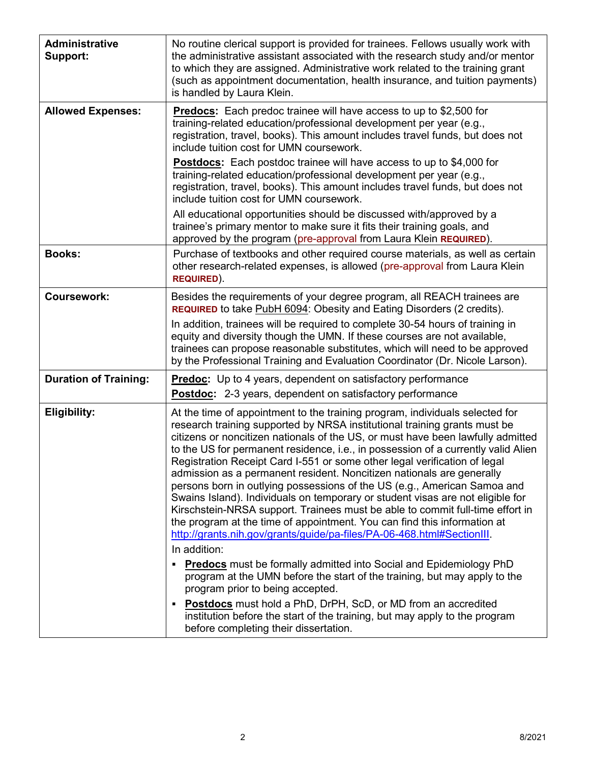| <b>Administrative</b><br>Support: | No routine clerical support is provided for trainees. Fellows usually work with<br>the administrative assistant associated with the research study and/or mentor<br>to which they are assigned. Administrative work related to the training grant<br>(such as appointment documentation, health insurance, and tuition payments)<br>is handled by Laura Klein.                                                                                                                                                                                                                                                                                                                                                                                                                                                                                                                               |
|-----------------------------------|----------------------------------------------------------------------------------------------------------------------------------------------------------------------------------------------------------------------------------------------------------------------------------------------------------------------------------------------------------------------------------------------------------------------------------------------------------------------------------------------------------------------------------------------------------------------------------------------------------------------------------------------------------------------------------------------------------------------------------------------------------------------------------------------------------------------------------------------------------------------------------------------|
| <b>Allowed Expenses:</b>          | <b>Predocs:</b> Each predoc trainee will have access to up to \$2,500 for<br>training-related education/professional development per year (e.g.,<br>registration, travel, books). This amount includes travel funds, but does not<br>include tuition cost for UMN coursework.                                                                                                                                                                                                                                                                                                                                                                                                                                                                                                                                                                                                                |
|                                   | <b>Postdocs:</b> Each postdoc trainee will have access to up to \$4,000 for<br>training-related education/professional development per year (e.g.,<br>registration, travel, books). This amount includes travel funds, but does not<br>include tuition cost for UMN coursework.                                                                                                                                                                                                                                                                                                                                                                                                                                                                                                                                                                                                              |
|                                   | All educational opportunities should be discussed with/approved by a<br>trainee's primary mentor to make sure it fits their training goals, and<br>approved by the program (pre-approval from Laura Klein REQUIRED).                                                                                                                                                                                                                                                                                                                                                                                                                                                                                                                                                                                                                                                                         |
| <b>Books:</b>                     | Purchase of textbooks and other required course materials, as well as certain<br>other research-related expenses, is allowed (pre-approval from Laura Klein<br><b>REQUIRED).</b>                                                                                                                                                                                                                                                                                                                                                                                                                                                                                                                                                                                                                                                                                                             |
| <b>Coursework:</b>                | Besides the requirements of your degree program, all REACH trainees are<br>REQUIRED to take PubH 6094: Obesity and Eating Disorders (2 credits).                                                                                                                                                                                                                                                                                                                                                                                                                                                                                                                                                                                                                                                                                                                                             |
|                                   | In addition, trainees will be required to complete 30-54 hours of training in<br>equity and diversity though the UMN. If these courses are not available,<br>trainees can propose reasonable substitutes, which will need to be approved<br>by the Professional Training and Evaluation Coordinator (Dr. Nicole Larson).                                                                                                                                                                                                                                                                                                                                                                                                                                                                                                                                                                     |
| <b>Duration of Training:</b>      | <b>Predoc:</b> Up to 4 years, dependent on satisfactory performance<br><b>Postdoc:</b> 2-3 years, dependent on satisfactory performance                                                                                                                                                                                                                                                                                                                                                                                                                                                                                                                                                                                                                                                                                                                                                      |
| <b>Eligibility:</b>               | At the time of appointment to the training program, individuals selected for<br>research training supported by NRSA institutional training grants must be<br>citizens or noncitizen nationals of the US, or must have been lawfully admitted<br>to the US for permanent residence, i.e., in possession of a currently valid Alien<br>Registration Receipt Card I-551 or some other legal verification of legal<br>admission as a permanent resident. Noncitizen nationals are generally<br>persons born in outlying possessions of the US (e.g., American Samoa and<br>Swains Island). Individuals on temporary or student visas are not eligible for<br>Kirschstein-NRSA support. Trainees must be able to commit full-time effort in<br>the program at the time of appointment. You can find this information at<br>http://grants.nih.gov/grants/guide/pa-files/PA-06-468.html#SectionIII. |
|                                   | In addition:<br><b>Predocs</b> must be formally admitted into Social and Epidemiology PhD                                                                                                                                                                                                                                                                                                                                                                                                                                                                                                                                                                                                                                                                                                                                                                                                    |
|                                   | program at the UMN before the start of the training, but may apply to the<br>program prior to being accepted.                                                                                                                                                                                                                                                                                                                                                                                                                                                                                                                                                                                                                                                                                                                                                                                |
|                                   | <b>Postdocs</b> must hold a PhD, DrPH, ScD, or MD from an accredited<br>institution before the start of the training, but may apply to the program<br>before completing their dissertation.                                                                                                                                                                                                                                                                                                                                                                                                                                                                                                                                                                                                                                                                                                  |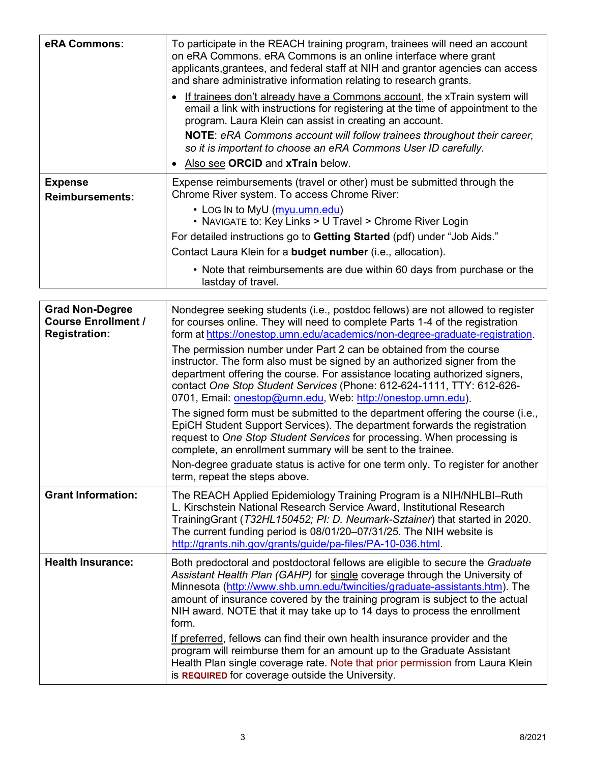| eRA Commons:                             | To participate in the REACH training program, trainees will need an account<br>on eRA Commons. eRA Commons is an online interface where grant<br>applicants, grantees, and federal staff at NIH and grantor agencies can access<br>and share administrative information relating to research grants. |
|------------------------------------------|------------------------------------------------------------------------------------------------------------------------------------------------------------------------------------------------------------------------------------------------------------------------------------------------------|
|                                          | • If trainees don't already have a Commons account, the xTrain system will<br>email a link with instructions for registering at the time of appointment to the<br>program. Laura Klein can assist in creating an account.                                                                            |
|                                          | <b>NOTE:</b> eRA Commons account will follow trainees throughout their career,<br>so it is important to choose an eRA Commons User ID carefully.                                                                                                                                                     |
|                                          | • Also see ORCID and xTrain below.                                                                                                                                                                                                                                                                   |
| <b>Expense</b><br><b>Reimbursements:</b> | Expense reimbursements (travel or other) must be submitted through the<br>Chrome River system. To access Chrome River:                                                                                                                                                                               |
|                                          | • LOG In to MyU (myu.umn.edu)<br>• NAVIGATE to: Key Links > U Travel > Chrome River Login                                                                                                                                                                                                            |
|                                          | For detailed instructions go to Getting Started (pdf) under "Job Aids."                                                                                                                                                                                                                              |
|                                          | Contact Laura Klein for a <b>budget number</b> (i.e., allocation).                                                                                                                                                                                                                                   |
|                                          | • Note that reimbursements are due within 60 days from purchase or the<br>lastday of travel.                                                                                                                                                                                                         |

| <b>Grad Non-Degree</b><br><b>Course Enrollment /</b><br><b>Registration:</b> | Nondegree seeking students (i.e., postdoc fellows) are not allowed to register<br>for courses online. They will need to complete Parts 1-4 of the registration<br>form at https://onestop.umn.edu/academics/non-degree-graduate-registration.                                                                                                                                                                  |
|------------------------------------------------------------------------------|----------------------------------------------------------------------------------------------------------------------------------------------------------------------------------------------------------------------------------------------------------------------------------------------------------------------------------------------------------------------------------------------------------------|
|                                                                              | The permission number under Part 2 can be obtained from the course<br>instructor. The form also must be signed by an authorized signer from the<br>department offering the course. For assistance locating authorized signers,<br>contact One Stop Student Services (Phone: 612-624-1111, TTY: 612-626-<br>0701, Email: onestop@umn.edu, Web: http://onestop.umn.edu).                                         |
|                                                                              | The signed form must be submitted to the department offering the course (i.e.,<br>EpiCH Student Support Services). The department forwards the registration<br>request to One Stop Student Services for processing. When processing is<br>complete, an enrollment summary will be sent to the trainee.                                                                                                         |
|                                                                              | Non-degree graduate status is active for one term only. To register for another<br>term, repeat the steps above.                                                                                                                                                                                                                                                                                               |
| <b>Grant Information:</b>                                                    | The REACH Applied Epidemiology Training Program is a NIH/NHLBI-Ruth<br>L. Kirschstein National Research Service Award, Institutional Research<br>TrainingGrant (T32HL150452; PI: D. Neumark-Sztainer) that started in 2020.<br>The current funding period is 08/01/20-07/31/25. The NIH website is<br>http://grants.nih.gov/grants/guide/pa-files/PA-10-036.html.                                              |
| <b>Health Insurance:</b>                                                     | Both predoctoral and postdoctoral fellows are eligible to secure the Graduate<br>Assistant Health Plan (GAHP) for single coverage through the University of<br>Minnesota (http://www.shb.umn.edu/twincities/graduate-assistants.htm). The<br>amount of insurance covered by the training program is subject to the actual<br>NIH award. NOTE that it may take up to 14 days to process the enrollment<br>form. |
|                                                                              | If preferred, fellows can find their own health insurance provider and the<br>program will reimburse them for an amount up to the Graduate Assistant<br>Health Plan single coverage rate. Note that prior permission from Laura Klein<br>is REQUIRED for coverage outside the University.                                                                                                                      |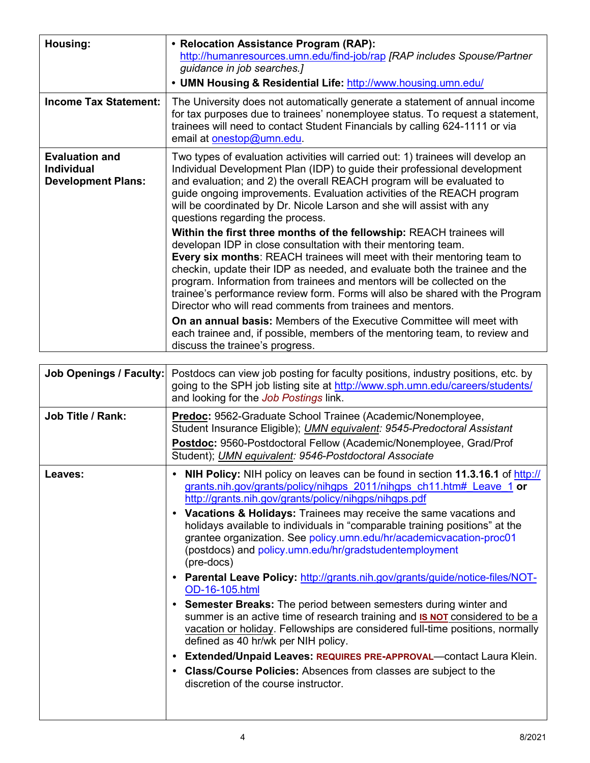| Housing:                                                                | • Relocation Assistance Program (RAP):<br>http://humanresources.umn.edu/find-job/rap [RAP includes Spouse/Partner<br>guidance in job searches.]<br>• UMN Housing & Residential Life: http://www.housing.umn.edu/                                                                                                                                                                                                                                                                                                                 |
|-------------------------------------------------------------------------|----------------------------------------------------------------------------------------------------------------------------------------------------------------------------------------------------------------------------------------------------------------------------------------------------------------------------------------------------------------------------------------------------------------------------------------------------------------------------------------------------------------------------------|
| <b>Income Tax Statement:</b>                                            | The University does not automatically generate a statement of annual income<br>for tax purposes due to trainees' nonemployee status. To request a statement,<br>trainees will need to contact Student Financials by calling 624-1111 or via<br>email at <b>onestop@umn.edu</b> .                                                                                                                                                                                                                                                 |
| <b>Evaluation and</b><br><b>Individual</b><br><b>Development Plans:</b> | Two types of evaluation activities will carried out: 1) trainees will develop an<br>Individual Development Plan (IDP) to guide their professional development<br>and evaluation; and 2) the overall REACH program will be evaluated to<br>guide ongoing improvements. Evaluation activities of the REACH program<br>will be coordinated by Dr. Nicole Larson and she will assist with any<br>questions regarding the process.                                                                                                    |
|                                                                         | Within the first three months of the fellowship: REACH trainees will<br>developan IDP in close consultation with their mentoring team.<br><b>Every six months: REACH trainees will meet with their mentoring team to</b><br>checkin, update their IDP as needed, and evaluate both the trainee and the<br>program. Information from trainees and mentors will be collected on the<br>trainee's performance review form. Forms will also be shared with the Program<br>Director who will read comments from trainees and mentors. |
|                                                                         | <b>On an annual basis:</b> Members of the Executive Committee will meet with<br>each trainee and, if possible, members of the mentoring team, to review and<br>discuss the trainee's progress.                                                                                                                                                                                                                                                                                                                                   |

| <b>Job Openings / Faculty:</b> | Postdocs can view job posting for faculty positions, industry positions, etc. by<br>going to the SPH job listing site at http://www.sph.umn.edu/careers/students/<br>and looking for the Job Postings link.                                                                                                                                                                                                                                                                                                                                                                                                                                                                                                                                                                                                                                                                                                                                                                                                                                                                                                      |
|--------------------------------|------------------------------------------------------------------------------------------------------------------------------------------------------------------------------------------------------------------------------------------------------------------------------------------------------------------------------------------------------------------------------------------------------------------------------------------------------------------------------------------------------------------------------------------------------------------------------------------------------------------------------------------------------------------------------------------------------------------------------------------------------------------------------------------------------------------------------------------------------------------------------------------------------------------------------------------------------------------------------------------------------------------------------------------------------------------------------------------------------------------|
| Job Title / Rank:              | <b>Predoc:</b> 9562-Graduate School Trainee (Academic/Nonemployee,<br>Student Insurance Eligible); UMN equivalent: 9545-Predoctoral Assistant<br>Postdoc: 9560-Postdoctoral Fellow (Academic/Nonemployee, Grad/Prof<br>Student); UMN equivalent: 9546-Postdoctoral Associate                                                                                                                                                                                                                                                                                                                                                                                                                                                                                                                                                                                                                                                                                                                                                                                                                                     |
| Leaves:                        | <b>NIH Policy:</b> NIH policy on leaves can be found in section 11.3.16.1 of http://<br>$\bullet$<br>grants.nih.gov/grants/policy/nihgps 2011/nihgps ch11.htm# Leave 1 or<br>http://grants.nih.gov/grants/policy/nihgps/nihgps.pdf<br>• Vacations & Holidays: Trainees may receive the same vacations and<br>holidays available to individuals in "comparable training positions" at the<br>grantee organization. See policy.umn.edu/hr/academicvacation-proc01<br>(postdocs) and policy.umn.edu/hr/gradstudentemployment<br>(pre-docs)<br>Parental Leave Policy: http://grants.nih.gov/grants/guide/notice-files/NOT-<br>OD-16-105.html<br>• Semester Breaks: The period between semesters during winter and<br>summer is an active time of research training and <b>IS NOT</b> considered to be a<br>vacation or holiday. Fellowships are considered full-time positions, normally<br>defined as 40 hr/wk per NIH policy.<br>• Extended/Unpaid Leaves: REQUIRES PRE-APPROVAL-contact Laura Klein.<br>• Class/Course Policies: Absences from classes are subject to the<br>discretion of the course instructor. |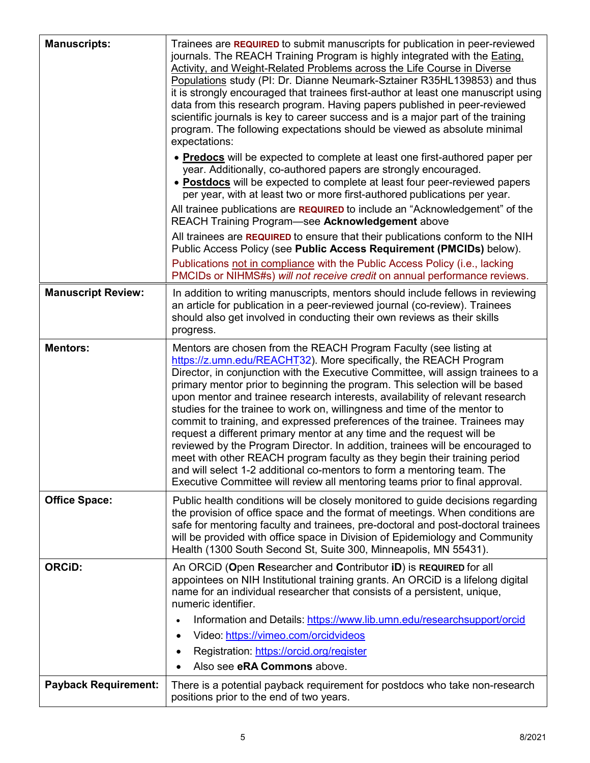| <b>Manuscripts:</b>         | Trainees are REQUIRED to submit manuscripts for publication in peer-reviewed<br>journals. The REACH Training Program is highly integrated with the Eating.<br>Activity, and Weight-Related Problems across the Life Course in Diverse<br>Populations study (PI: Dr. Dianne Neumark-Sztainer R35HL139853) and thus<br>it is strongly encouraged that trainees first-author at least one manuscript using<br>data from this research program. Having papers published in peer-reviewed<br>scientific journals is key to career success and is a major part of the training<br>program. The following expectations should be viewed as absolute minimal<br>expectations:                                                                                                                                                                                                                                                                                    |
|-----------------------------|----------------------------------------------------------------------------------------------------------------------------------------------------------------------------------------------------------------------------------------------------------------------------------------------------------------------------------------------------------------------------------------------------------------------------------------------------------------------------------------------------------------------------------------------------------------------------------------------------------------------------------------------------------------------------------------------------------------------------------------------------------------------------------------------------------------------------------------------------------------------------------------------------------------------------------------------------------|
|                             | • Predocs will be expected to complete at least one first-authored paper per<br>year. Additionally, co-authored papers are strongly encouraged.<br>• Postdocs will be expected to complete at least four peer-reviewed papers<br>per year, with at least two or more first-authored publications per year.<br>All trainee publications are REQUIRED to include an "Acknowledgement" of the                                                                                                                                                                                                                                                                                                                                                                                                                                                                                                                                                               |
|                             | REACH Training Program-see Acknowledgement above<br>All trainees are REQUIRED to ensure that their publications conform to the NIH<br>Public Access Policy (see Public Access Requirement (PMCIDs) below).<br>Publications not in compliance with the Public Access Policy (i.e., lacking                                                                                                                                                                                                                                                                                                                                                                                                                                                                                                                                                                                                                                                                |
|                             | PMCIDs or NIHMS#s) will not receive credit on annual performance reviews.                                                                                                                                                                                                                                                                                                                                                                                                                                                                                                                                                                                                                                                                                                                                                                                                                                                                                |
| <b>Manuscript Review:</b>   | In addition to writing manuscripts, mentors should include fellows in reviewing<br>an article for publication in a peer-reviewed journal (co-review). Trainees<br>should also get involved in conducting their own reviews as their skills<br>progress.                                                                                                                                                                                                                                                                                                                                                                                                                                                                                                                                                                                                                                                                                                  |
| <b>Mentors:</b>             | Mentors are chosen from the REACH Program Faculty (see listing at<br>https://z.umn.edu/REACHT32). More specifically, the REACH Program<br>Director, in conjunction with the Executive Committee, will assign trainees to a<br>primary mentor prior to beginning the program. This selection will be based<br>upon mentor and trainee research interests, availability of relevant research<br>studies for the trainee to work on, willingness and time of the mentor to<br>commit to training, and expressed preferences of the trainee. Trainees may<br>request a different primary mentor at any time and the request will be<br>reviewed by the Program Director. In addition, trainees will be encouraged to<br>meet with other REACH program faculty as they begin their training period<br>and will select 1-2 additional co-mentors to form a mentoring team. The<br>Executive Committee will review all mentoring teams prior to final approval. |
| <b>Office Space:</b>        | Public health conditions will be closely monitored to guide decisions regarding<br>the provision of office space and the format of meetings. When conditions are<br>safe for mentoring faculty and trainees, pre-doctoral and post-doctoral trainees<br>will be provided with office space in Division of Epidemiology and Community<br>Health (1300 South Second St, Suite 300, Minneapolis, MN 55431).                                                                                                                                                                                                                                                                                                                                                                                                                                                                                                                                                 |
| <b>ORCID:</b>               | An ORCiD (Open Researcher and Contributor iD) is REQUIRED for all<br>appointees on NIH Institutional training grants. An ORCiD is a lifelong digital<br>name for an individual researcher that consists of a persistent, unique,<br>numeric identifier.                                                                                                                                                                                                                                                                                                                                                                                                                                                                                                                                                                                                                                                                                                  |
|                             | Information and Details: https://www.lib.umn.edu/researchsupport/orcid<br>$\bullet$                                                                                                                                                                                                                                                                                                                                                                                                                                                                                                                                                                                                                                                                                                                                                                                                                                                                      |
|                             | Video: https://vimeo.com/orcidvideos<br>Registration: https://orcid.org/register                                                                                                                                                                                                                                                                                                                                                                                                                                                                                                                                                                                                                                                                                                                                                                                                                                                                         |
|                             | Also see <b>eRA Commons</b> above.<br>$\bullet$                                                                                                                                                                                                                                                                                                                                                                                                                                                                                                                                                                                                                                                                                                                                                                                                                                                                                                          |
| <b>Payback Requirement:</b> | There is a potential payback requirement for postdocs who take non-research<br>positions prior to the end of two years.                                                                                                                                                                                                                                                                                                                                                                                                                                                                                                                                                                                                                                                                                                                                                                                                                                  |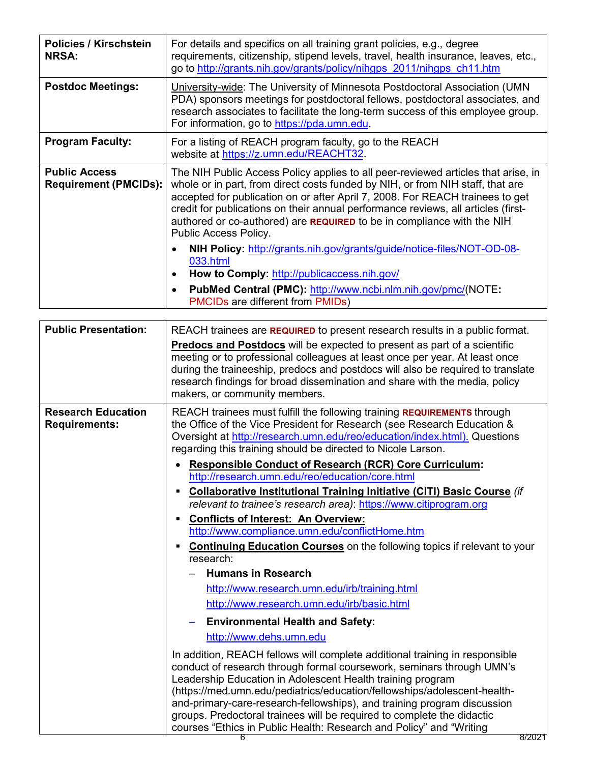| <b>Policies / Kirschstein</b><br><b>NRSA:</b>        | For details and specifics on all training grant policies, e.g., degree<br>requirements, citizenship, stipend levels, travel, health insurance, leaves, etc.,<br>go to http://grants.nih.gov/grants/policy/nihgps 2011/nihgps ch11.htm                                                                                                                                                                                                        |
|------------------------------------------------------|----------------------------------------------------------------------------------------------------------------------------------------------------------------------------------------------------------------------------------------------------------------------------------------------------------------------------------------------------------------------------------------------------------------------------------------------|
| <b>Postdoc Meetings:</b>                             | University-wide: The University of Minnesota Postdoctoral Association (UMN<br>PDA) sponsors meetings for postdoctoral fellows, postdoctoral associates, and<br>research associates to facilitate the long-term success of this employee group.<br>For information, go to https://pda.umn.edu.                                                                                                                                                |
| <b>Program Faculty:</b>                              | For a listing of REACH program faculty, go to the REACH<br>website at https://z.umn.edu/REACHT32.                                                                                                                                                                                                                                                                                                                                            |
| <b>Public Access</b><br><b>Requirement (PMCIDs):</b> | The NIH Public Access Policy applies to all peer-reviewed articles that arise, in<br>whole or in part, from direct costs funded by NIH, or from NIH staff, that are<br>accepted for publication on or after April 7, 2008. For REACH trainees to get<br>credit for publications on their annual performance reviews, all articles (first-<br>authored or co-authored) are REQUIRED to be in compliance with the NIH<br>Public Access Policy. |
|                                                      | NIH Policy: http://grants.nih.gov/grants/guide/notice-files/NOT-OD-08-<br>033.html<br>How to Comply: http://publicaccess.nih.gov/                                                                                                                                                                                                                                                                                                            |
|                                                      | PubMed Central (PMC): http://www.ncbi.nlm.nih.gov/pmc/(NOTE:<br><b>PMCIDs are different from PMIDs)</b>                                                                                                                                                                                                                                                                                                                                      |

| <b>Public Presentation:</b>                       | REACH trainees are REQUIRED to present research results in a public format.<br><b>Predocs and Postdocs</b> will be expected to present as part of a scientific<br>meeting or to professional colleagues at least once per year. At least once<br>during the traineeship, predocs and postdocs will also be required to translate<br>research findings for broad dissemination and share with the media, policy<br>makers, or community members.                                                                                                                                                                                                                                                                                                                                                                                                                                                                                                                                                                               |
|---------------------------------------------------|-------------------------------------------------------------------------------------------------------------------------------------------------------------------------------------------------------------------------------------------------------------------------------------------------------------------------------------------------------------------------------------------------------------------------------------------------------------------------------------------------------------------------------------------------------------------------------------------------------------------------------------------------------------------------------------------------------------------------------------------------------------------------------------------------------------------------------------------------------------------------------------------------------------------------------------------------------------------------------------------------------------------------------|
| <b>Research Education</b><br><b>Requirements:</b> | REACH trainees must fulfill the following training REQUIREMENTS through<br>the Office of the Vice President for Research (see Research Education &<br>Oversight at http://research.umn.edu/reo/education/index.html). Questions<br>regarding this training should be directed to Nicole Larson.<br><b>Responsible Conduct of Research (RCR) Core Curriculum:</b><br>$\bullet$<br>http://research.umn.edu/reo/education/core.html<br><b>Collaborative Institutional Training Initiative (CITI) Basic Course (if</b><br>$\blacksquare$<br>relevant to trainee's research area): https://www.citiprogram.org<br><b>Conflicts of Interest: An Overview:</b><br>http://www.compliance.umn.edu/conflictHome.htm<br><b>Continuing Education Courses</b> on the following topics if relevant to your<br>$\blacksquare$<br>research:<br><b>Humans in Research</b><br>http://www.research.umn.edu/irb/training.html<br>http://www.research.umn.edu/irb/basic.html<br><b>Environmental Health and Safety:</b><br>http://www.dehs.umn.edu |
|                                                   | In addition, REACH fellows will complete additional training in responsible<br>conduct of research through formal coursework, seminars through UMN's<br>Leadership Education in Adolescent Health training program<br>(https://med.umn.edu/pediatrics/education/fellowships/adolescent-health-<br>and-primary-care-research-fellowships), and training program discussion<br>groups. Predoctoral trainees will be required to complete the didactic<br>courses "Ethics in Public Health: Research and Policy" and "Writing                                                                                                                                                                                                                                                                                                                                                                                                                                                                                                    |